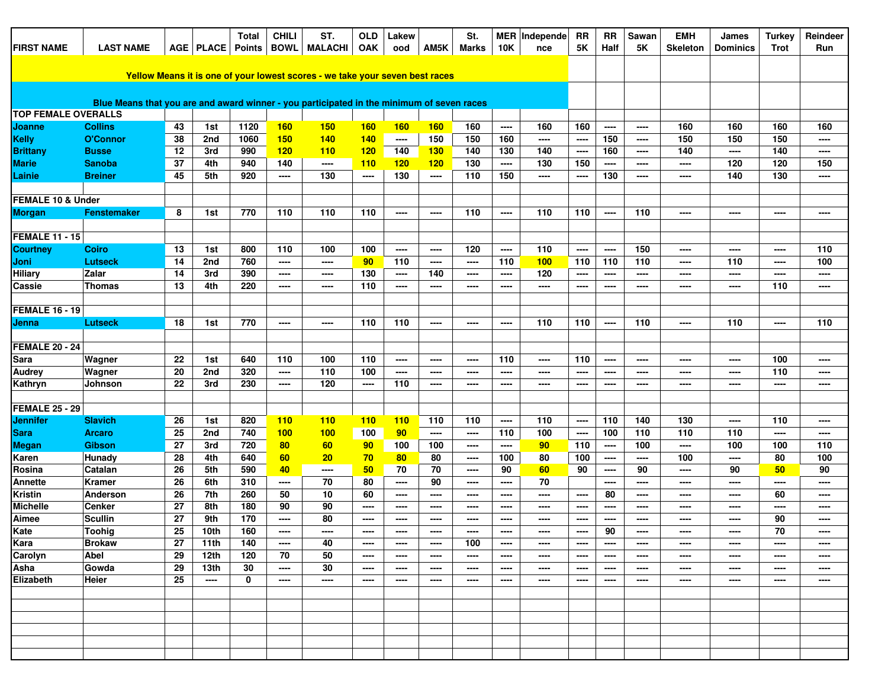| <b>FIRST NAME</b>          | <b>LAST NAME</b>                                                                          |    | AGE   PLACE            | <b>Total</b>  | <b>CHILI</b><br><b>BOWL</b> | ST.<br><b>MALACHI</b> | <b>OLD</b><br><b>OAK</b> | Lakew<br>ood | AM5K          | St.<br><b>Marks</b> | <b>10K</b>               | MER   Independe | RR<br>5K                 | <b>RR</b><br>Half | Sawan<br><b>5K</b> | <b>EMH</b><br><b>Skeleton</b> | James<br><b>Dominics</b> | <b>Turkey</b><br><b>Trot</b> | Reindeer<br>Run          |
|----------------------------|-------------------------------------------------------------------------------------------|----|------------------------|---------------|-----------------------------|-----------------------|--------------------------|--------------|---------------|---------------------|--------------------------|-----------------|--------------------------|-------------------|--------------------|-------------------------------|--------------------------|------------------------------|--------------------------|
|                            |                                                                                           |    |                        | <b>Points</b> |                             |                       |                          |              |               |                     |                          | nce             |                          |                   |                    |                               |                          |                              |                          |
|                            | Yellow Means it is one of your lowest scores - we take your seven best races              |    |                        |               |                             |                       |                          |              |               |                     |                          |                 |                          |                   |                    |                               |                          |                              |                          |
|                            |                                                                                           |    |                        |               |                             |                       |                          |              |               |                     |                          |                 |                          |                   |                    |                               |                          |                              |                          |
|                            | Blue Means that you are and award winner - you participated in the minimum of seven races |    |                        |               |                             |                       |                          |              |               |                     |                          |                 |                          |                   |                    |                               |                          |                              |                          |
| <b>TOP FEMALE OVERALLS</b> |                                                                                           |    |                        |               |                             |                       |                          |              |               |                     |                          |                 |                          |                   |                    |                               |                          |                              |                          |
| Joanne                     | <b>Collins</b>                                                                            | 43 | 1st                    | 1120          | <b>160</b>                  | 150                   | 160                      | 160          | <b>160</b>    | 160                 | ----                     | 160             | 160                      | ----              | ----               | 160                           | 160                      | 160                          | 160                      |
| <b>Kelly</b>               | <b>O'Connor</b>                                                                           | 38 | 2nd                    | 1060          | 150                         | 140                   | <b>140</b>               | $---$        | 150           | 150                 | 160                      | ----            | $\overline{\phantom{a}}$ | 150               | ----               | 150                           | 150                      | 150                          | ----                     |
| <b>Brittany</b>            | <b>Busse</b>                                                                              | 12 | 3rd                    | 990           | 120                         | 110                   | 120                      | 140          | 130           | 140                 | 130                      | 140             | $\cdots$                 | 160               | ----               | 140                           | ----                     | 140                          | $\cdots$                 |
| <b>Marie</b>               | <b>Sanoba</b>                                                                             | 37 | 4th                    | 940           | 140                         | ----                  | 110                      | 120          | 120           | 130                 | ----                     | 130             | 150                      | ----              | ----               | ----                          | 120                      | 120                          | 150                      |
| Lainie                     | <b>Breiner</b>                                                                            | 45 | 5th                    | 920           | ----                        | 130                   | ----                     | 130          | ----          | 110                 | 150                      | ----            | ----                     | 130               | ----               | ----                          | 140                      | 130                          | ----                     |
| FEMALE 10 & Under          |                                                                                           |    |                        |               |                             |                       |                          |              |               |                     |                          |                 |                          |                   |                    |                               |                          |                              |                          |
| <b>Morgan</b>              | <b>Fenstemaker</b>                                                                        | 8  | 1st                    | 770           | 110                         | 110                   | 110                      | ----         | ----          | 110                 | $---$                    | 110             | 110                      | $---$             | 110                | ----                          | ----                     | ----                         | $\cdots$                 |
| <b>FEMALE 11 - 15</b>      |                                                                                           |    |                        |               |                             |                       |                          |              |               |                     |                          |                 |                          |                   |                    |                               |                          |                              |                          |
| <b>Courtney</b>            | <b>Coiro</b>                                                                              | 13 | 1st                    | 800           | 110                         | 100                   | 100                      | ----         | ----          | 120                 | $---$                    | 110             | $\qquad \qquad \cdots$   | $---$             | 150                | ----                          | ----                     | ----                         | 110                      |
| Joni                       | <b>Lutseck</b>                                                                            | 14 | 2nd                    | 760           | $\cdots$                    | ----                  | 90                       | 110          | ----          | ----                | 110                      | <b>100</b>      | 110                      | 110               | 110                | ----                          | 110                      | ----                         | 100                      |
| <b>Hiliary</b>             | Zalar                                                                                     | 14 | 3rd                    | 390           | $\overline{\phantom{a}}$    | ----                  | 130                      | ----         | 140           | ----                | ----                     | 120             | $---$                    | $---$             | ----               | ----                          | ----                     | ----                         | ----                     |
| Cassie                     | Thomas                                                                                    | 13 | 4th                    | 220           | ----                        | ----                  | 110                      | ----         | ----          | ----                | $\overline{\phantom{a}}$ | ----            | $---$                    | $---$             | ----               | ----                          | $---$                    | 110                          | $---$                    |
|                            |                                                                                           |    |                        |               |                             |                       |                          |              |               |                     |                          |                 |                          |                   |                    |                               |                          |                              |                          |
| <b>FEMALE 16 - 19</b>      |                                                                                           |    |                        |               |                             |                       |                          |              |               |                     |                          |                 |                          |                   |                    |                               |                          |                              |                          |
| Jenna                      | <b>Lutseck</b>                                                                            | 18 | 1st                    | 770           | ----                        | ----                  | 110                      | 110          | ----          | ----                | $\overline{\phantom{a}}$ | 110             | 110                      | $---$             | 110                | ----                          | 110                      | ----                         | 110                      |
|                            |                                                                                           |    |                        |               |                             |                       |                          |              |               |                     |                          |                 |                          |                   |                    |                               |                          |                              |                          |
| <b>FEMALE 20 - 24</b>      |                                                                                           |    |                        |               |                             |                       |                          |              |               |                     |                          |                 |                          |                   |                    |                               |                          |                              |                          |
| <b>Sara</b>                | Wagner                                                                                    | 22 | 1st                    | 640           | 110                         | 100                   | 110                      | ----         | ----          | ----                | 110                      | ----            | 110                      | $---$             | ----               | ----                          | $\cdots$                 | 100                          | $\cdots$                 |
| <b>Audrey</b>              | Wagner                                                                                    | 20 | 2nd                    | 320           | $\cdots$                    | 110                   | 100                      | ----         | ----          | ----                | $---$                    | ----            | ----                     | $\frac{1}{2}$     | ----               | ----                          | ----                     | 110                          | ----                     |
| Kathryn                    | Johnson                                                                                   | 22 | 3rd                    | 230           | ----                        | 120                   | ----                     | 110          | ----          | ----                | ----                     | ----            | ----                     | ----              | ----               | ----                          | ----                     | ----                         | ----                     |
|                            |                                                                                           |    |                        |               |                             |                       |                          |              |               |                     |                          |                 |                          |                   |                    |                               |                          |                              |                          |
| <b>FEMALE 25 - 29</b>      |                                                                                           |    |                        |               |                             |                       |                          |              |               |                     |                          |                 |                          |                   |                    |                               |                          |                              |                          |
| <b>Jennifer</b>            | <b>Slavich</b>                                                                            | 26 | 1st                    | 820           | 110                         | 110                   | 110                      | 110          | 110           | 110                 | ----                     | 110             | $\qquad \qquad \cdots$   | 110               | 140                | 130                           | ----                     | 110                          | $\cdots$                 |
| <b>Sara</b>                | <b>Arcaro</b>                                                                             | 25 | 2nd                    | 740           | 100                         | 100                   | 100                      | 90           | ----          | ----                | 110                      | 100             | $\cdots$                 | 100               | 110                | 110                           | 110                      | ----                         | $\cdots$                 |
| <b>Megan</b>               | <b>Gibson</b>                                                                             | 27 | 3rd                    | 720           | 80                          | 60                    | 90                       | 100          | 100           | ----                | ----                     | 90              | 110                      | $---$             | 100                | ----                          | 100                      | 100                          | 110                      |
| Karen                      | Hunady                                                                                    | 28 | 4th                    | 640           | 60                          | 20                    | 70                       | 80           | 80            | $---$               | 100                      | 80              | 100                      | $---$             | ----               | 100                           | ----                     | 80                           | 100                      |
| Rosina                     | Catalan                                                                                   | 26 | 5th                    | 590           | 40                          | ----                  | 50                       | 70           | 70            | ----                | 90                       | 60              | 90                       | ----              | 90                 | ----                          | 90                       | 50                           | 90                       |
| <b>Annette</b>             | Kramer                                                                                    | 26 | 6th                    | 310           | ----                        | 70                    | 80                       | ----         | 90            | ----                | ----                     | 70              |                          | ----              | ----               | ----                          | ----                     | ----                         | ----                     |
| <b>Kristin</b>             | Anderson                                                                                  | 26 | 7th                    | 260           | 50                          | 10                    | 60                       | $---$        | ----          | $---$               | $---$                    | ----            | $\qquad \qquad \cdots$   | 80                | $\frac{1}{2}$      | ----                          | $\frac{1}{2}$            | 60                           | $---$                    |
| <b>Michelle</b>            | Cenker                                                                                    | 27 | 8th                    | 180           | 90                          | 90                    | ----                     | ----         | ----          | ----                | ----                     | ----            | ----                     | $---$             | ----               | ----                          | $\frac{1}{2}$            | ----                         | ----                     |
| Aimee                      | <b>Scullin</b>                                                                            | 27 | 9th                    | 170           | ----                        | 80                    | ----                     | ----         | ----          | ----                | ----                     | ----            | ----                     | ----              | ----               | ----                          | ----                     | 90                           | ----                     |
| Kate                       | <b>Toohig</b>                                                                             | 25 | 10th                   | 160           |                             |                       | ----                     |              |               |                     |                          |                 |                          | 90                |                    |                               |                          | 70                           |                          |
| Kara                       | <b>Brokaw</b>                                                                             | 27 | 11th                   | 140           | $---$                       | 40                    | $\overline{\phantom{a}}$ | $\sim$       | $\frac{1}{2}$ | 100                 | $---$                    | ----            | $\cdots$                 | $---$             | $\frac{1}{2}$      | ----                          | $---$                    | ----                         | $\overline{\phantom{a}}$ |
| Carolyn                    | Abel                                                                                      | 29 | 12th                   | 120           | 70                          | 50                    | ----                     | ----         | ----          | ----                | ----                     | ----            | ----                     | $---$             | ----               | ----                          | ----                     | $\cdots$                     | $\overline{\phantom{a}}$ |
| Asha                       | Gowda                                                                                     | 29 | 13th                   | 30            | ----                        | 30                    | ----                     | ----         | ----          | ----                | ----                     | ----            | ----                     | ----              | ----               | ----                          | ----                     | ----                         | $\cdots$                 |
| Elizabeth                  | Heier                                                                                     | 25 | $\qquad \qquad \cdots$ | 0             | ----                        | ----                  | ----                     | ----         | ----          | ----                | ----                     | ----            | $---$                    | $---$             | ----               | ----                          | ----                     | ----                         | ----                     |
|                            |                                                                                           |    |                        |               |                             |                       |                          |              |               |                     |                          |                 |                          |                   |                    |                               |                          |                              |                          |
|                            |                                                                                           |    |                        |               |                             |                       |                          |              |               |                     |                          |                 |                          |                   |                    |                               |                          |                              |                          |
|                            |                                                                                           |    |                        |               |                             |                       |                          |              |               |                     |                          |                 |                          |                   |                    |                               |                          |                              |                          |
|                            |                                                                                           |    |                        |               |                             |                       |                          |              |               |                     |                          |                 |                          |                   |                    |                               |                          |                              |                          |
|                            |                                                                                           |    |                        |               |                             |                       |                          |              |               |                     |                          |                 |                          |                   |                    |                               |                          |                              |                          |
|                            |                                                                                           |    |                        |               |                             |                       |                          |              |               |                     |                          |                 |                          |                   |                    |                               |                          |                              |                          |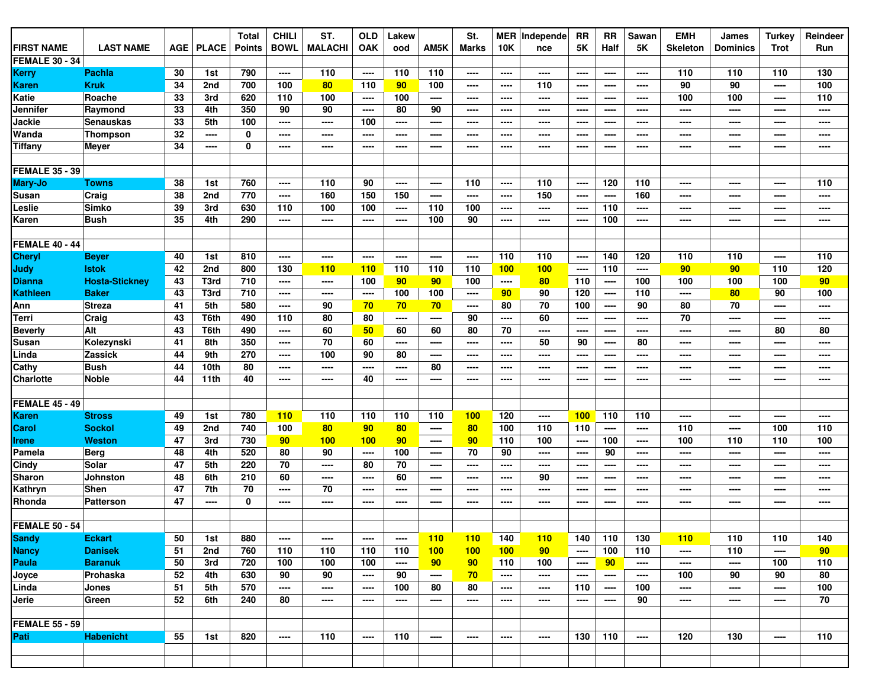| <b>FIRST NAME</b>     | <b>LAST NAME</b>      | <b>AGE</b> | <b>PLACE</b> | <b>Total</b><br><b>Points</b> | <b>CHILI</b><br><b>BOWL</b> | ST.<br><b>MALACHI</b> | <b>OLD</b><br><b>OAK</b> | Lakew<br>ood             | AM5K | St.<br>Marks | <b>10K</b>      | <b>MER</b> Independe<br>nce | <b>RR</b><br>5Κ | <b>RR</b><br>Half | Sawan<br><b>5K</b> | <b>EMH</b><br><b>Skeleton</b> | James<br><b>Dominics</b> | <b>Turkey</b><br>Trot | Reindeer<br>Run |
|-----------------------|-----------------------|------------|--------------|-------------------------------|-----------------------------|-----------------------|--------------------------|--------------------------|------|--------------|-----------------|-----------------------------|-----------------|-------------------|--------------------|-------------------------------|--------------------------|-----------------------|-----------------|
| <b>FEMALE 30 - 34</b> |                       |            |              |                               |                             |                       |                          |                          |      |              |                 |                             |                 |                   |                    |                               |                          |                       |                 |
| <b>Kerry</b>          | <b>Pachla</b>         | 30         | 1st          | 790                           | ----                        | 110                   | ----                     | 110                      | 110  | ----         | ----            | ----                        | ----            | $---$             | ----               | 110                           | 110                      | 110                   | 130             |
| <b>Karen</b>          | <b>Kruk</b>           | 34         | 2nd          | 700                           | 100                         | 80                    | 110                      | 90                       | 100  | ----         | ----            | 110                         | ----            | $---$             | $\cdots$           | 90                            | 90                       | ----                  | 100             |
| <b>Katie</b>          | Roache                | 33         | 3rd          | 620                           | 110                         | 100                   | ----                     | 100                      | ---- | ----         | ----            | ----                        | ----            | ----              | ----               | 100                           | 100                      | ----                  | 110             |
| Jennifer              | Raymond               | 33         | 4th          | 350                           | 90                          | 90                    | ----                     | 80                       | 90   | ----         | ----            | ----                        | ----            | $---$             | ----               | ----                          | ----                     | ----                  | ----            |
| Jackie                | <b>Senauskas</b>      | 33         | 5th          | 100                           | ----                        | ----                  | 100                      | $---$                    | ---- | ----         | ----            | ----                        | $\frac{1}{2}$   | $\frac{1}{2}$     | ----               | ----                          | ----                     | ----                  | ----            |
| Wanda                 | <b>Thompson</b>       | 32         | ----         | 0                             | ----                        | ----                  | ----                     | $\overline{\phantom{a}}$ | ---- | ----         | ----            | ----                        | ----            | ----              | ----               | ----                          | ----                     | ----                  | ----            |
| Tiffany               | Meyer                 | 34         | ----         | 0                             | ----                        | ----                  | ----                     | $\overline{\phantom{a}}$ | ---- | ----         | ----            | ----                        | ----            | ----              | ----               | ----                          | ----                     | ----                  | ----            |
|                       |                       |            |              |                               |                             |                       |                          |                          |      |              |                 |                             |                 |                   |                    |                               |                          |                       |                 |
| <b>FEMALE 35 - 39</b> |                       |            |              |                               |                             |                       |                          |                          |      |              |                 |                             |                 |                   |                    |                               |                          |                       |                 |
| Mary-Jo               | Towns                 | 38         | 1st          | 760                           | ----                        | 110                   | 90                       | ----                     | ---- | 110          | ----            | 110                         | ----            | 120               | 110                | ----                          | ----                     | ----                  | 110             |
| Susan                 | Craig                 | 38         | 2nd          | 770                           | ----                        | 160                   | 150                      | 150                      | ---- | ----         | ----            | 150                         | ----            | ----              | 160                | ----                          | ----                     | ----                  | ----            |
| Leslie                | <b>Simko</b>          | 39         | 3rd          | 630                           | 110                         | 100                   | 100                      | ----                     | 110  | 100          | ----            | ----                        | ----            | 110               | ----               | ----                          | ----                     | ----                  | ----            |
| Karen                 | <b>Bush</b>           | 35         | 4th          | 290                           | ----                        | ----                  | ----                     | $\overline{\phantom{a}}$ | 100  | 90           | ----            | ----                        | ----            | 100               | ----               | ----                          | ----                     | ----                  | ----            |
|                       |                       |            |              |                               |                             |                       |                          |                          |      |              |                 |                             |                 |                   |                    |                               |                          |                       |                 |
| <b>FEMALE 40 - 44</b> |                       |            |              |                               |                             |                       |                          |                          |      |              |                 |                             |                 |                   |                    |                               |                          |                       |                 |
| <b>Cheryl</b>         | <b>Beyer</b>          | 40         | 1st          | 810                           | ----                        | ----                  | ----                     | $\overline{\phantom{a}}$ | ---- | ----         | 110             | 110                         | ----            | 140               | 120                | 110                           | 110                      | ----                  | 110             |
| Judy                  | <b>Istok</b>          | 42         | 2nd          | 800                           | 130                         | 110                   | <u>110</u>               | 110                      | 110  | 110          | 100             | 100                         | ----            | 110               | ----               | 90                            | 90                       | 110                   | 120             |
| <b>Dianna</b>         | <b>Hosta-Stickney</b> | 43         | T3rd         | 710                           | ----                        | ----                  | 100                      | 90                       | 90   | 100          | ----            | 80                          | 110             | $---$             | 100                | 100                           | 100                      | 100                   | 90              |
| <b>Kathleen</b>       | <b>Baker</b>          | 43         | T3rd         | 710                           | ----                        | ----                  | ----                     | 100                      | 100  | ----         | 90 <sub>o</sub> | 90                          | 120             | $---$             | 110                | ----                          | 80                       | 90                    | 100             |
| Ann                   | <b>Streza</b>         | 41         | 5th          | 580                           | ----                        | 90                    | 70                       | 70 <sub>2</sub>          | 70   | ----         | 80              | 70                          | 100             | $---$             | 90                 | 80                            | 70                       | ----                  | ----            |
| Terri                 | Craig                 | 43         | T6th         | 490                           | 110                         | 80                    | 80                       | $\overline{\phantom{a}}$ | ---- | 90           | ----            | 60                          | ----            | ----              | ----               | 70                            | ----                     | ----                  | ----            |
| <b>Beverly</b>        | Alt                   | 43         | T6th         | 490                           | ----                        | 60                    | 50                       | 60                       | 60   | 80           | 70              | ----                        | ----            | $---$             | ----               | ----                          | ----                     | 80                    | 80              |
| Susan                 | Kolezynski            | 41         | 8th          | 350                           | ----                        | 70                    | 60                       | ----                     | ---- | ----         | ----            | 50                          | 90              | ----              | 80                 | ----                          | ----                     | ----                  | ----            |
| Linda                 | Zassick               | 44         | 9th          | 270                           | ----                        | 100                   | 90                       | 80                       | ---- | ----         | ----            | ----                        | ----            | ----              | ----               | ----                          | ----                     | ----                  | ----            |
| Cathy                 | <b>Bush</b>           | 44         | 10th         | 80                            | ----                        | ----                  | ----                     | ----                     | 80   | ----         | ----            | ----                        | $---$           | ----              | ----               | ----                          | ----                     | ----                  | ----            |
| <b>Charlotte</b>      | <b>Noble</b>          | 44         | 11th         | 40                            | ----                        | ----                  | 40                       | $\overline{\phantom{a}}$ | ---- | ----         | ----            | ----                        | ----            | $---$             | ----               | ----                          | ----                     | ----                  | ----            |
|                       |                       |            |              |                               |                             |                       |                          |                          |      |              |                 |                             |                 |                   |                    |                               |                          |                       |                 |
| <b>FEMALE 45 - 49</b> |                       |            |              |                               |                             |                       |                          |                          |      |              |                 |                             |                 |                   |                    |                               |                          |                       |                 |
| Karen                 | <b>Stross</b>         | 49         | 1st          | 780                           | 110                         | 110                   | 110                      | 110                      | 110  | 100          | 120             | ----                        | 100             | 110               | 110                | ----                          | ----                     | ----                  | ----            |
| Carol                 | <b>Sockol</b>         | 49         | 2nd          | 740                           | 100                         | 80                    | 90                       | 80                       | ---- | 80           | 100             | 110                         | 110             | $---$             | ----               | 110                           | ----                     | 100                   | 110             |
| Irene                 | <b>Weston</b>         | 47         | 3rd          | 730                           | 90                          | 100                   | 100                      | 90 <sub>o</sub>          | ---- | 90           | 110             | 100                         | ----            | 100               | ----               | 100                           | 110                      | 110                   | 100             |
| Pamela                | <b>Berg</b>           | 48         | 4th          | 520                           | 80                          | 90                    | $\overline{\phantom{a}}$ | 100                      | ---- | 70           | 90              | ----                        | ----            | 90                | ----               | ----                          | ----                     | ----                  | ----            |
| Cindy                 | Solar                 | 47         | 5th          | 220                           | 70                          | ----                  | 80                       | 70                       | ---- | ----         | ----            | ----                        | ----            | $---$             | ----               | ----                          | ----                     | ----                  | ----            |
| Sharon                | Johnston              | 48         | 6th          | 210                           | 60                          | ----                  | ----                     | 60                       | ---- | ----         | ----            | 90                          | ----            | $---$             | ----               | ----                          | ----                     | ----                  | ----            |
| Kathryn               | Shen                  | 47         | 7th          | 70                            | ----                        | 70                    | ----                     | ----                     | ---- | ----         | ----            | ----                        | ----            | ----              | ----               | ----                          | ----                     | ----                  | ----            |
| Rhonda                | <b>Patterson</b>      | 47         | ----         | 0                             | ----                        | ----                  | ----                     | $\overline{\phantom{a}}$ | ---- | ----         | ----            | ----                        | $---$           | $---$             | ----               | ----                          | ----                     | ----                  | ----            |
|                       |                       |            |              |                               |                             |                       |                          |                          |      |              |                 |                             |                 |                   |                    |                               |                          |                       |                 |
| <b>FEMALE 50 - 54</b> |                       |            |              |                               |                             |                       |                          |                          |      |              |                 |                             |                 |                   |                    |                               |                          |                       |                 |
| <b>Sandy</b>          | <b>Eckart</b>         | 50         | 1st          | 880                           | ----                        | ----                  | ----                     | ----                     | 110  | 110          | 140             | 110                         | 140             | 110               | 130                | 110                           | 110                      | 110                   | 140             |
| <b>Nancy</b>          | <b>Danisek</b>        | 51         | 2nd          | 760                           | 110                         | 110                   | 110                      | 110                      | 100  | 100          | 100             | 90                          | ----            | 100               | 110                | ----                          | 110                      | ----                  | 90              |
| Paula                 | <b>Baranuk</b>        | 50         | 3rd          | 720                           | 100                         | 100                   | 100                      | ----                     | 90   | 90           | 110             | 100                         | ----            | 90                | ----               | ----                          | ----                     | 100                   | 110             |
| Joyce                 | Prohaska              | 52         | 4th          | 630                           | 90                          | 90                    | ----                     | 90                       | ---- | 70           | ----            | $\qquad \qquad \cdots$      | ----            | ----              | ----               | 100                           | 90                       | 90                    | 80              |
| Linda                 | Jones                 | 51         | 5th          | 570                           | ----                        | ----                  | ----                     | 100                      | 80   | 80           | ----            | ----                        | 110             | ----              | 100                | ----                          | ----                     | ----                  | 100             |
| Jerie                 | Green                 | 52         | 6th          | 240                           | 80                          | ----                  | ----                     | $---$                    | ---- | ----         | ----            | ----                        | $---$           | $---$             | 90                 | ----                          | ----                     | ----                  | 70              |
|                       |                       |            |              |                               |                             |                       |                          |                          |      |              |                 |                             |                 |                   |                    |                               |                          |                       |                 |
| <b>FEMALE 55 - 59</b> |                       |            |              |                               |                             |                       |                          |                          |      |              |                 |                             |                 |                   |                    |                               |                          |                       |                 |
| Pati                  | <b>Habenicht</b>      | 55         | 1st          | 820                           | ----                        | 110                   | ----                     | 110                      | ---- | ----         | ----            | ----                        | 130             | 110               | ----               | 120                           | 130                      | ----                  | 110             |
|                       |                       |            |              |                               |                             |                       |                          |                          |      |              |                 |                             |                 |                   |                    |                               |                          |                       |                 |
|                       |                       |            |              |                               |                             |                       |                          |                          |      |              |                 |                             |                 |                   |                    |                               |                          |                       |                 |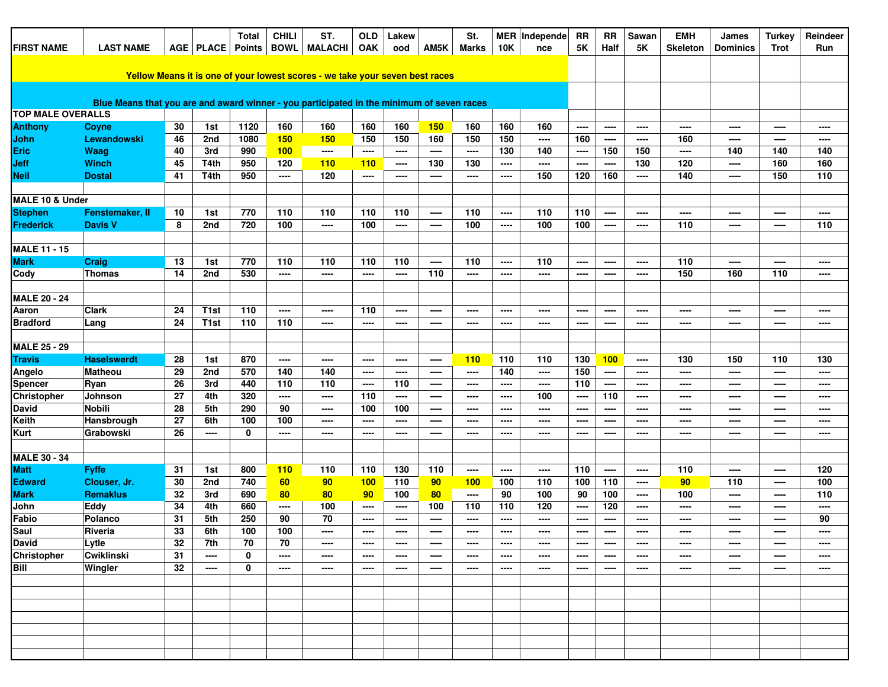| <b>FIRST NAME</b>        | <b>LAST NAME</b>                                                                          |    | AGE   PLACE      | <b>Total</b><br>Points BOWL | <b>CHILI</b> | ST.<br><b>MALACHI</b>                                                        | <b>OLD</b><br>OAK | Lakew<br>ood | AM5K  | St.<br>Marks | <b>10K</b> | MER   Independe<br>nce | <b>RR</b><br>5K | RR<br>Half   | Sawan<br>5K              | <b>EMH</b><br><b>Skeleton</b> | James<br><b>Dominics</b> | <b>Turkey</b><br><b>Trot</b> | Reindeer<br>Run          |
|--------------------------|-------------------------------------------------------------------------------------------|----|------------------|-----------------------------|--------------|------------------------------------------------------------------------------|-------------------|--------------|-------|--------------|------------|------------------------|-----------------|--------------|--------------------------|-------------------------------|--------------------------|------------------------------|--------------------------|
|                          |                                                                                           |    |                  |                             |              |                                                                              |                   |              |       |              |            |                        |                 |              |                          |                               |                          |                              |                          |
|                          |                                                                                           |    |                  |                             |              | Yellow Means it is one of your lowest scores - we take your seven best races |                   |              |       |              |            |                        |                 |              |                          |                               |                          |                              |                          |
|                          | Blue Means that you are and award winner - you participated in the minimum of seven races |    |                  |                             |              |                                                                              |                   |              |       |              |            |                        |                 |              |                          |                               |                          |                              |                          |
|                          |                                                                                           |    |                  |                             |              |                                                                              |                   |              |       |              |            |                        |                 |              |                          |                               |                          |                              |                          |
| <b>TOP MALE OVERALLS</b> |                                                                                           | 30 |                  | 1120                        | 160          | 160                                                                          | 160               | 160          | 150   | 160          | 160        |                        |                 |              |                          |                               |                          | ----                         |                          |
| <b>Anthony</b><br>John   | Coyne<br><b>Lewandowski</b>                                                               | 46 | 1st<br>2nd       | 1080                        | 150          | 150                                                                          | 150               | 150          | 160   | 150          | 150        | 160<br>$\cdots$        | ----<br>160     | ----<br>---- | ----<br>----             | ----<br>160                   | ----<br>----             | ----                         | ----<br>----             |
| Eric                     | Waag                                                                                      | 40 | 3rd              | 990                         | 100          | ----                                                                         | ----              | $\cdots$     | ----  | ----         | 130        | 140                    | ----            | 150          | 150                      | ----                          | 140                      | 140                          | 140                      |
| <b>Jeff</b>              | Winch                                                                                     | 45 | T <sub>4th</sub> | 950                         | 120          | 110                                                                          | 110               | ----         | 130   | 130          | ----       | ----                   | $\frac{1}{2}$   | ----         | 130                      | 120                           | $---$                    | 160                          | 160                      |
| <b>Neil</b>              | <b>Dostal</b>                                                                             | 41 | T <sub>4th</sub> | 950                         | ----         | 120                                                                          | ----              | ----         | ----  | ----         | ----       | 150                    | 120             | 160          | ----                     | 140                           | ----                     | 150                          | 110                      |
|                          |                                                                                           |    |                  |                             |              |                                                                              |                   |              |       |              |            |                        |                 |              |                          |                               |                          |                              |                          |
| MALE 10 & Under          |                                                                                           |    |                  |                             |              |                                                                              |                   |              |       |              |            |                        |                 |              |                          |                               |                          |                              |                          |
| <b>Stephen</b>           | Fenstemaker, II                                                                           | 10 | 1st              | 770                         | 110          | 110                                                                          | 110               | 110          | ----  | 110          | ----       | 110                    | 110             | ----         | $\overline{\phantom{a}}$ | ----                          | ----                     | ----                         | $\overline{\phantom{a}}$ |
| Frederick                | <b>Davis V</b>                                                                            | 8  | 2nd              | 720                         | 100          | ----                                                                         | 100               | ----         | ----  | 100          | ----       | 100                    | 100             | ----         | ----                     | 110                           | ----                     | ----                         | 110                      |
|                          |                                                                                           |    |                  |                             |              |                                                                              |                   |              |       |              |            |                        |                 |              |                          |                               |                          |                              |                          |
| <b>MALE 11 - 15</b>      |                                                                                           |    |                  |                             |              |                                                                              |                   |              |       |              |            |                        |                 |              |                          |                               |                          |                              |                          |
| <b>Mark</b>              | Craig                                                                                     | 13 | 1st              | 770                         | 110          | 110                                                                          | 110               | 110          | ----  | 110          | ----       | 110                    | ----            | ----         | ----                     | 110                           | ----                     | ----                         | ----                     |
| Cody                     | <b>Thomas</b>                                                                             | 14 | 2nd              | 530                         | ----         | ----                                                                         | ----              | ----         | 110   | ----         | ----       | ----                   | ----            | ----         | ----                     | 150                           | 160                      | 110                          | ----                     |
| <b>MALE 20 - 24</b>      |                                                                                           |    |                  |                             |              |                                                                              |                   |              |       |              |            |                        |                 |              |                          |                               |                          |                              |                          |
| Aaron                    | <b>Clark</b>                                                                              | 24 | T <sub>1st</sub> | 110                         | ----         | ----                                                                         | 110               | ----         | ----  | ----         | ----       | ----                   | ----            | ----         | ----                     | ----                          | ----                     | ----                         | ----                     |
| <b>Bradford</b>          | Lang                                                                                      | 24 | T <sub>1st</sub> | 110                         | 110          | ----                                                                         | ----              | ----         | ----  | ----         | ----       | ----                   | ----            | ----         | ----                     | ----                          | ----                     | ----                         | $\overline{\phantom{a}}$ |
|                          |                                                                                           |    |                  |                             |              |                                                                              |                   |              |       |              |            |                        |                 |              |                          |                               |                          |                              |                          |
| <b>MALE 25 - 29</b>      |                                                                                           |    |                  |                             |              |                                                                              |                   |              |       |              |            |                        |                 |              |                          |                               |                          |                              |                          |
| <b>Travis</b>            | <b>Haselswerdt</b>                                                                        | 28 | 1st              | 870                         | ----         | ----                                                                         | ----              | ----         | ----  | <b>110</b>   | 110        | 110                    | 130             | 100          | $\qquad \qquad \cdots$   | 130                           | 150                      | 110                          | 130                      |
| Angelo                   | <b>Matheou</b>                                                                            | 29 | 2nd              | 570                         | 140          | 140                                                                          | ----              | ----         | ----  | ----         | 140        | ----                   | 150             | ----         | $\overline{\phantom{a}}$ | ----                          | ----                     | ----                         | ----                     |
| <b>Spencer</b>           | Ryan                                                                                      | 26 | 3rd              | 440                         | 110          | 110                                                                          | ----              | 110          | ----  | ----         | ----       | ----                   | 110             | ----         | $\qquad \qquad \cdots$   | ----                          | ----                     | ----                         | ----                     |
| Christopher              | Johnson                                                                                   | 27 | 4th              | 320                         | ----         | ----                                                                         | 110               | $\cdots$     | ----  | ----         | ----       | 100                    | ----            | 110          | ----                     | ----                          | ----                     | ----                         | ----                     |
| <b>David</b>             | <b>Nobili</b>                                                                             | 28 | 5th              | 290                         | 90           | ----                                                                         | 100               | 100          | ----  | ----         | ----       | ----                   | ----            | ----         | ----                     | ----                          | ----                     | ----                         | ----                     |
| <b>Keith</b>             | Hansbrough                                                                                | 27 | 6th              | 100                         | 100          | $\overline{\phantom{a}}$                                                     | ----              | ----         | ----  | ----         | ----       | ----                   | ----            | ----         | $\qquad \qquad \cdots$   | ----                          | $\overline{\phantom{a}}$ | ----                         | $\overline{\phantom{a}}$ |
| <b>Kurt</b>              | Grabowski                                                                                 | 26 | ----             | 0                           | ----         | ----                                                                         | ----              | ----         | ----  | $---$        | ----       | ----                   | $\frac{1}{2}$   | $---$        | ----                     | ----                          | ----                     | ----                         | ----                     |
| <b>MALE 30 - 34</b>      |                                                                                           |    |                  |                             |              |                                                                              |                   |              |       |              |            |                        |                 |              |                          |                               |                          |                              |                          |
| <b>Matt</b>              | <b>Fyffe</b>                                                                              | 31 | 1st              | 800                         | 110          | 110                                                                          | 110               | 130          | 110   | ----         | ----       | ----                   | 110             | ----         | $\qquad \qquad \cdots$   | 110                           | ----                     | ----                         | 120                      |
| <b>Edward</b>            | Clouser, Jr.                                                                              | 30 | 2nd              | 740                         | 60           | 90                                                                           | 100               | 110          | 90    | 100          | 100        | 110                    | 100             | 110          | ----                     | 90                            | 110                      | ----                         | 100                      |
| <b>Mark</b>              | <b>Remaklus</b>                                                                           | 32 | 3rd              | 690                         | 80           | 80                                                                           | 90                | 100          | 80    | ----         | 90         | 100                    | 90              | 100          | ----                     | 100                           | $---$                    | ----                         | 110                      |
| John                     | Eddy                                                                                      | 34 | 4th              | 660                         | ----         | 100                                                                          | ----              | ----         | 100   | 110          | 110        | 120                    | ----            | 120          | $\overline{\phantom{a}}$ | ----                          | ----                     | ----                         | ----                     |
| Fabio                    | Polanco                                                                                   | 31 | 5th              | 250                         | 90           | 70                                                                           | ----              | ----         | $---$ | ----         | ----       | ----                   | ----            | ----         | ----                     | ----                          | ----                     | ----                         | 90                       |
| Saul                     | Riveria                                                                                   | 33 | 6th              | 100                         | 100          |                                                                              |                   |              |       |              |            |                        |                 |              |                          |                               |                          |                              |                          |
| <b>David</b>             | Lytle                                                                                     | 32 | 7th              | 70                          | 70           | $\frac{1}{2}$                                                                | ----              | ----         | ----  | ----         | ----       | ----                   | ----            | ----         | ----                     | ----                          | ----                     | ----                         | ----                     |
| <b>Christopher</b>       | <b>Cwiklinski</b>                                                                         | 31 | ----             | 0                           | ----         | $\cdots$                                                                     | $\frac{1}{2}$     | $---$        | ----  | ----         | ----       | $---$                  | $---$           | ----         | $---$                    | ----                          | $-- -$                   | $\overline{\phantom{a}}$     | $---$                    |
| Bill                     | Wingler                                                                                   | 32 | ----             | 0                           | ----         | $\cdots$                                                                     | ----              | ----         | ----  | ----         | ----       | ----                   | ----            | ----         | ----                     | ----                          | ----                     | ----                         | ----                     |
|                          |                                                                                           |    |                  |                             |              |                                                                              |                   |              |       |              |            |                        |                 |              |                          |                               |                          |                              |                          |
|                          |                                                                                           |    |                  |                             |              |                                                                              |                   |              |       |              |            |                        |                 |              |                          |                               |                          |                              |                          |
|                          |                                                                                           |    |                  |                             |              |                                                                              |                   |              |       |              |            |                        |                 |              |                          |                               |                          |                              |                          |
|                          |                                                                                           |    |                  |                             |              |                                                                              |                   |              |       |              |            |                        |                 |              |                          |                               |                          |                              |                          |
|                          |                                                                                           |    |                  |                             |              |                                                                              |                   |              |       |              |            |                        |                 |              |                          |                               |                          |                              |                          |
|                          |                                                                                           |    |                  |                             |              |                                                                              |                   |              |       |              |            |                        |                 |              |                          |                               |                          |                              |                          |
|                          |                                                                                           |    |                  |                             |              |                                                                              |                   |              |       |              |            |                        |                 |              |                          |                               |                          |                              |                          |